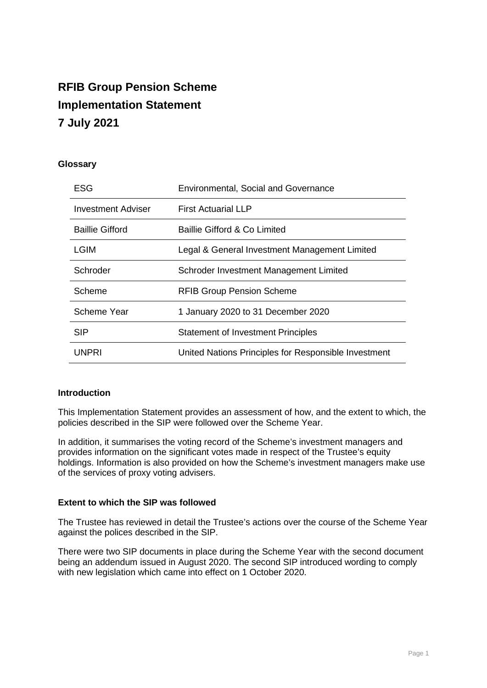# **RFIB Group Pension Scheme Implementation Statement 7 July 2021**

# **Glossary**

| <b>ESG</b>             | <b>Environmental, Social and Governance</b>          |
|------------------------|------------------------------------------------------|
| Investment Adviser     | <b>First Actuarial LLP</b>                           |
| <b>Baillie Gifford</b> | Baillie Gifford & Co Limited                         |
| <b>LGIM</b>            | Legal & General Investment Management Limited        |
| Schroder               | Schroder Investment Management Limited               |
| Scheme                 | <b>RFIB Group Pension Scheme</b>                     |
| <b>Scheme Year</b>     | 1 January 2020 to 31 December 2020                   |
| <b>SIP</b>             | <b>Statement of Investment Principles</b>            |
| UNPRI                  | United Nations Principles for Responsible Investment |

#### **Introduction**

This Implementation Statement provides an assessment of how, and the extent to which, the policies described in the SIP were followed over the Scheme Year.

In addition, it summarises the voting record of the Scheme's investment managers and provides information on the significant votes made in respect of the Trustee's equity holdings. Information is also provided on how the Scheme's investment managers make use of the services of proxy voting advisers.

#### **Extent to which the SIP was followed**

The Trustee has reviewed in detail the Trustee's actions over the course of the Scheme Year against the polices described in the SIP.

There were two SIP documents in place during the Scheme Year with the second document being an addendum issued in August 2020. The second SIP introduced wording to comply with new legislation which came into effect on 1 October 2020.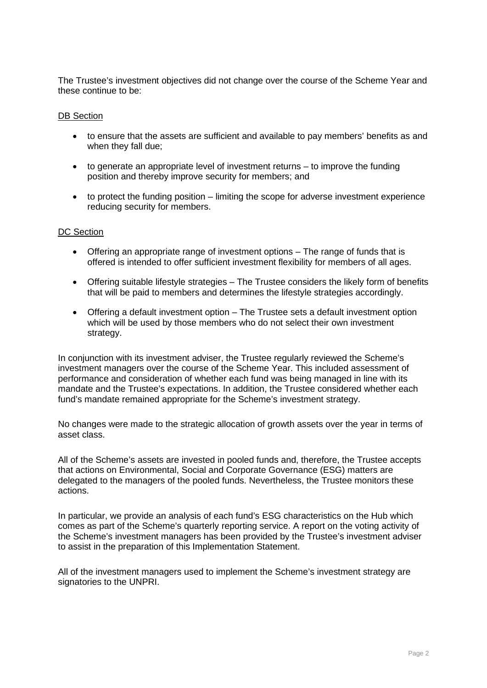The Trustee's investment objectives did not change over the course of the Scheme Year and these continue to be:

#### DB Section

- to ensure that the assets are sufficient and available to pay members' benefits as and when they fall due;
- to generate an appropriate level of investment returns to improve the funding position and thereby improve security for members; and
- to protect the funding position limiting the scope for adverse investment experience reducing security for members.

#### DC Section

- Offering an appropriate range of investment options The range of funds that is offered is intended to offer sufficient investment flexibility for members of all ages.
- Offering suitable lifestyle strategies The Trustee considers the likely form of benefits that will be paid to members and determines the lifestyle strategies accordingly.
- Offering a default investment option The Trustee sets a default investment option which will be used by those members who do not select their own investment strategy.

In conjunction with its investment adviser, the Trustee regularly reviewed the Scheme's investment managers over the course of the Scheme Year. This included assessment of performance and consideration of whether each fund was being managed in line with its mandate and the Trustee's expectations. In addition, the Trustee considered whether each fund's mandate remained appropriate for the Scheme's investment strategy.

No changes were made to the strategic allocation of growth assets over the year in terms of asset class.

All of the Scheme's assets are invested in pooled funds and, therefore, the Trustee accepts that actions on Environmental, Social and Corporate Governance (ESG) matters are delegated to the managers of the pooled funds. Nevertheless, the Trustee monitors these actions.

In particular, we provide an analysis of each fund's ESG characteristics on the Hub which comes as part of the Scheme's quarterly reporting service. A report on the voting activity of the Scheme's investment managers has been provided by the Trustee's investment adviser to assist in the preparation of this Implementation Statement.

All of the investment managers used to implement the Scheme's investment strategy are signatories to the UNPRI.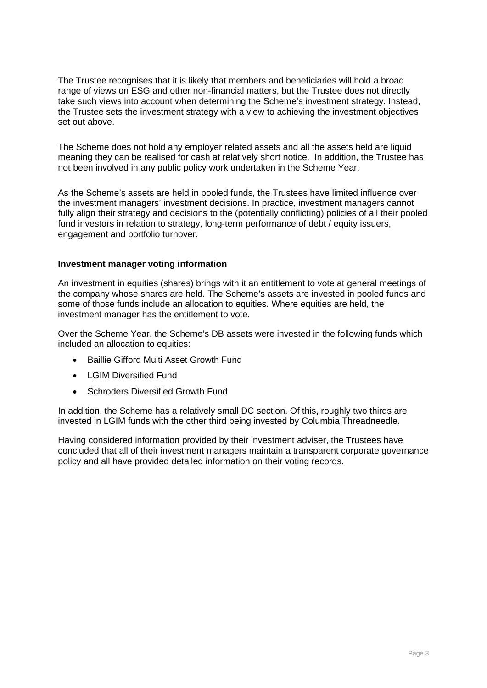The Trustee recognises that it is likely that members and beneficiaries will hold a broad range of views on ESG and other non-financial matters, but the Trustee does not directly take such views into account when determining the Scheme's investment strategy. Instead, the Trustee sets the investment strategy with a view to achieving the investment objectives set out above.

The Scheme does not hold any employer related assets and all the assets held are liquid meaning they can be realised for cash at relatively short notice. In addition, the Trustee has not been involved in any public policy work undertaken in the Scheme Year.

As the Scheme's assets are held in pooled funds, the Trustees have limited influence over the investment managers' investment decisions. In practice, investment managers cannot fully align their strategy and decisions to the (potentially conflicting) policies of all their pooled fund investors in relation to strategy, long-term performance of debt / equity issuers, engagement and portfolio turnover.

#### **Investment manager voting information**

An investment in equities (shares) brings with it an entitlement to vote at general meetings of the company whose shares are held. The Scheme's assets are invested in pooled funds and some of those funds include an allocation to equities. Where equities are held, the investment manager has the entitlement to vote.

Over the Scheme Year, the Scheme's DB assets were invested in the following funds which included an allocation to equities:

- Baillie Gifford Multi Asset Growth Fund
- I GIM Diversified Fund
- Schroders Diversified Growth Fund

In addition, the Scheme has a relatively small DC section. Of this, roughly two thirds are invested in LGIM funds with the other third being invested by Columbia Threadneedle.

Having considered information provided by their investment adviser, the Trustees have concluded that all of their investment managers maintain a transparent corporate governance policy and all have provided detailed information on their voting records.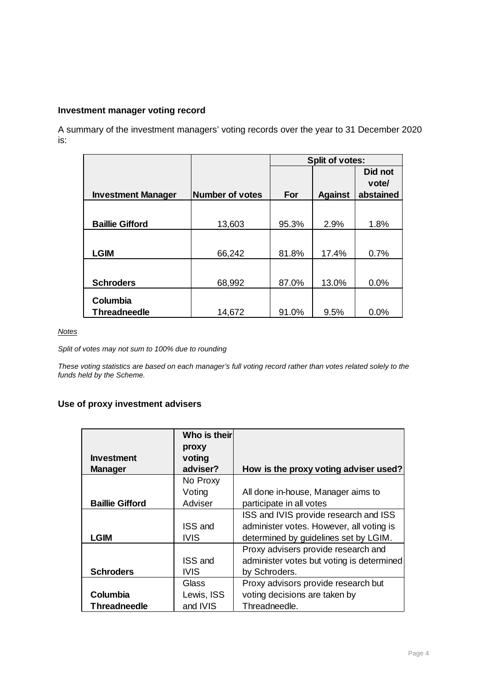# **Investment manager voting record**

A summary of the investment managers' voting records over the year to 31 December 2020 is:

|                           |                        | <b>Split of votes:</b> |                |           |  |  |
|---------------------------|------------------------|------------------------|----------------|-----------|--|--|
|                           |                        |                        |                | Did not   |  |  |
|                           |                        |                        |                | vote/     |  |  |
| <b>Investment Manager</b> | <b>Number of votes</b> | For                    | <b>Against</b> | abstained |  |  |
|                           |                        |                        |                |           |  |  |
|                           |                        |                        |                |           |  |  |
| <b>Baillie Gifford</b>    | 13,603                 | 95.3%                  | 2.9%           | 1.8%      |  |  |
|                           |                        |                        |                |           |  |  |
| <b>LGIM</b>               | 66,242                 | 81.8%                  | 17.4%          | 0.7%      |  |  |
|                           |                        |                        |                |           |  |  |
|                           |                        |                        |                |           |  |  |
| <b>Schroders</b>          | 68,992                 | 87.0%                  | 13.0%          | 0.0%      |  |  |
|                           |                        |                        |                |           |  |  |
| Columbia                  |                        |                        |                |           |  |  |
| <b>Threadneedle</b>       | 14,672                 | 91.0%                  | 9.5%           | 0.0%      |  |  |

*Notes* 

*Split of votes may not sum to 100% due to rounding*

*These voting statistics are based on each manager's full voting record rather than votes related solely to the funds held by the Scheme.*

# **Use of proxy investment advisers**

|                        | Who is their   |                                           |
|------------------------|----------------|-------------------------------------------|
|                        | proxy          |                                           |
| <b>Investment</b>      | voting         |                                           |
| <b>Manager</b>         | adviser?       | How is the proxy voting adviser used?     |
|                        | No Proxy       |                                           |
|                        | Voting         | All done in-house, Manager aims to        |
| <b>Baillie Gifford</b> | Adviser        | participate in all votes                  |
|                        |                | ISS and IVIS provide research and ISS     |
|                        | <b>ISS and</b> | administer votes. However, all voting is  |
| <b>LGIM</b>            | IVIS           | determined by guidelines set by LGIM.     |
|                        |                | Proxy advisers provide research and       |
|                        | <b>ISS and</b> | administer votes but voting is determined |
| <b>Schroders</b>       | IVIS           | by Schroders.                             |
|                        | Glass          | Proxy advisors provide research but       |
| Columbia               | Lewis, ISS     | voting decisions are taken by             |
| Threadneedle           | and IVIS       | Threadneedle.                             |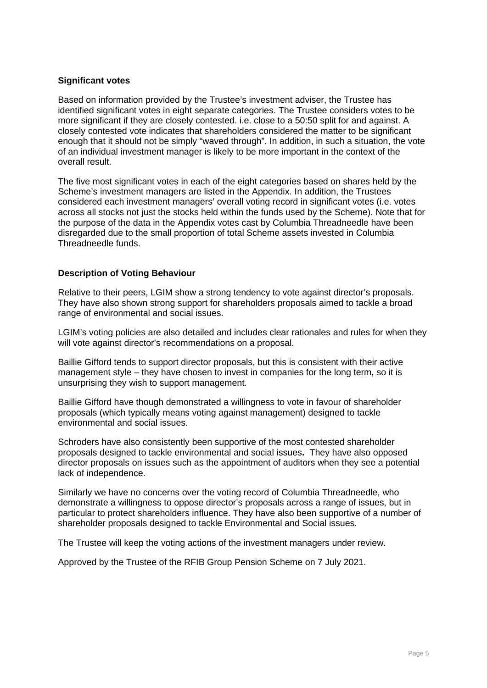### **Significant votes**

Based on information provided by the Trustee's investment adviser, the Trustee has identified significant votes in eight separate categories. The Trustee considers votes to be more significant if they are closely contested. i.e. close to a 50:50 split for and against. A closely contested vote indicates that shareholders considered the matter to be significant enough that it should not be simply "waved through". In addition, in such a situation, the vote of an individual investment manager is likely to be more important in the context of the overall result.

The five most significant votes in each of the eight categories based on shares held by the Scheme's investment managers are listed in the Appendix. In addition, the Trustees considered each investment managers' overall voting record in significant votes (i.e. votes across all stocks not just the stocks held within the funds used by the Scheme). Note that for the purpose of the data in the Appendix votes cast by Columbia Threadneedle have been disregarded due to the small proportion of total Scheme assets invested in Columbia Threadneedle funds.

# **Description of Voting Behaviour**

Relative to their peers, LGIM show a strong tendency to vote against director's proposals. They have also shown strong support for shareholders proposals aimed to tackle a broad range of environmental and social issues.

LGIM's voting policies are also detailed and includes clear rationales and rules for when they will vote against director's recommendations on a proposal.

Baillie Gifford tends to support director proposals, but this is consistent with their active management style – they have chosen to invest in companies for the long term, so it is unsurprising they wish to support management.

Baillie Gifford have though demonstrated a willingness to vote in favour of shareholder proposals (which typically means voting against management) designed to tackle environmental and social issues.

Schroders have also consistently been supportive of the most contested shareholder proposals designed to tackle environmental and social issues**.** They have also opposed director proposals on issues such as the appointment of auditors when they see a potential lack of independence.

Similarly we have no concerns over the voting record of Columbia Threadneedle, who demonstrate a willingness to oppose director's proposals across a range of issues, but in particular to protect shareholders influence. They have also been supportive of a number of shareholder proposals designed to tackle Environmental and Social issues.

The Trustee will keep the voting actions of the investment managers under review.

Approved by the Trustee of the RFIB Group Pension Scheme on 7 July 2021.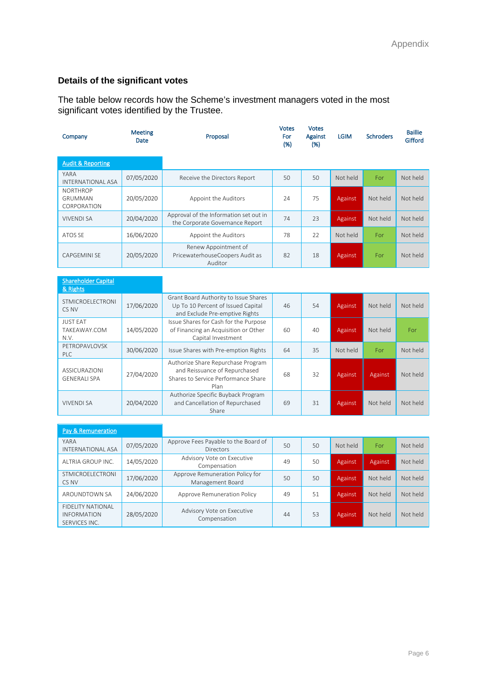# **Details of the significant votes**

The table below records how the Scheme's investment managers voted in the most significant votes identified by the Trustee.

| Company                                          | <b>Meeting</b><br><b>Date</b> | Proposal                                                                  | Votes<br>For<br>(%) | Votes<br>Against<br>(%) | <b>LGIM</b> | <b>Schroders</b> | <b>Baillie</b><br>Gifford |
|--------------------------------------------------|-------------------------------|---------------------------------------------------------------------------|---------------------|-------------------------|-------------|------------------|---------------------------|
| <b>Audit &amp; Reporting</b>                     |                               |                                                                           |                     |                         |             |                  |                           |
| <b>YARA</b><br><b>INTERNATIONAL ASA</b>          | 07/05/2020                    | Receive the Directors Report                                              | 50                  | 50                      | Not held    | For              | Not held                  |
| <b>NORTHROP</b><br><b>GRUMMAN</b><br>CORPORATION | 20/05/2020                    | Appoint the Auditors                                                      | 24                  | 75                      | Against     | Not held         | Not held                  |
| <b>VIVENDI SA</b>                                | 20/04/2020                    | Approval of the Information set out in<br>the Corporate Governance Report | 74                  | 23                      | Against     | Not held         | Not held                  |
| ATOS SE                                          | 16/06/2020                    | Appoint the Auditors                                                      | 78                  | 22                      | Not held    | For              | Not held                  |
| <b>CAPGEMINI SE</b>                              | 20/05/2020                    | Renew Appointment of<br>PricewaterhouseCoopers Audit as<br>Auditor        | 82                  | 18                      | Against     | For              | Not held                  |

| <b>Shareholder Capital</b><br>& Rights      |            |                                                                                                                    |    |    |          |          |          |
|---------------------------------------------|------------|--------------------------------------------------------------------------------------------------------------------|----|----|----------|----------|----------|
| <b>STMICROELECTRONI</b><br>CS NV            | 17/06/2020 | Grant Board Authority to Issue Shares<br>Up To 10 Percent of Issued Capital<br>and Exclude Pre-emptive Rights      | 46 | 54 | Against  | Not held | Not held |
| <b>JUST EAT</b><br>TAKEAWAY.COM<br>N.V.     | 14/05/2020 | Issue Shares for Cash for the Purpose<br>of Financing an Acquisition or Other<br>Capital Investment                | 60 | 40 | Against  | Not held | For      |
| PFTROPAVI OVSK<br>PIC                       | 30/06/2020 | Issue Shares with Pre-emption Rights                                                                               | 64 | 35 | Not held | For      | Not held |
| <b>ASSICURAZIONI</b><br><b>GENERALI SPA</b> | 27/04/2020 | Authorize Share Repurchase Program<br>and Reissuance of Repurchased<br>Shares to Service Performance Share<br>Plan | 68 | 32 | Against  | Against  | Not held |
| <b>VIVENDI SA</b>                           | 20/04/2020 | Authorize Specific Buyback Program<br>and Cancellation of Repurchased<br>Share                                     | 69 | 31 | Against  | Not held | Not held |

| <b>Pay &amp; Remuneration</b>                            |            |                                                          |    |    |          |          |          |
|----------------------------------------------------------|------------|----------------------------------------------------------|----|----|----------|----------|----------|
| YARA<br><b>INTERNATIONAL ASA</b>                         | 07/05/2020 | Approve Fees Payable to the Board of<br><b>Directors</b> | 50 | 50 | Not held | For      | Not held |
| ALTRIA GROUP INC.                                        | 14/05/2020 | Advisory Vote on Executive<br>Compensation               | 49 | 50 | Against  | Against  | Not held |
| STMICROFI FCTRONI<br>CS NV                               | 17/06/2020 | Approve Remuneration Policy for<br>Management Board      | 50 | 50 | Against  | Not held | Not held |
| AROUNDTOWN SA                                            | 24/06/2020 | Approve Remuneration Policy                              | 49 | 51 | Against  | Not held | Not held |
| FIDELITY NATIONAL<br><b>INFORMATION</b><br>SERVICES INC. | 28/05/2020 | Advisory Vote on Executive<br>Compensation               | 44 | 53 | Against  | Not held | Not held |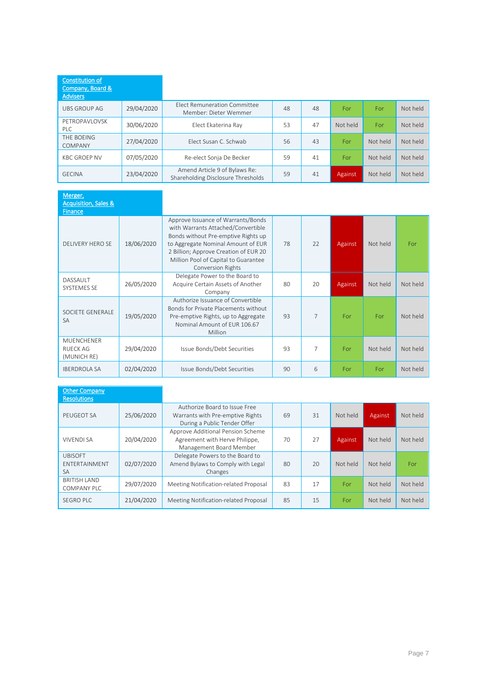| <b>Constitution of</b><br>Company, Board &<br><b>Advisers</b> |            |                                                                     |    |    |          |          |          |
|---------------------------------------------------------------|------------|---------------------------------------------------------------------|----|----|----------|----------|----------|
| UBS GROUP AG                                                  | 29/04/2020 | <b>Flect Remuneration Committee</b><br>Member: Dieter Wemmer        | 48 | 48 | For      | For      | Not held |
| PFTROPAVI OVSK<br>PI C                                        | 30/06/2020 | Elect Ekaterina Ray                                                 | 53 | 47 | Not held | For      | Not held |
| THE BOEING<br>COMPANY                                         | 27/04/2020 | Flect Susan C. Schwab                                               | 56 | 43 | For      | Not held | Not held |
| <b>KBC GROFP NV</b>                                           | 07/05/2020 | Re-elect Sonja De Becker                                            | 59 | 41 | For      | Not held | Not held |
| <b>GECINA</b>                                                 | 23/04/2020 | Amend Article 9 of Bylaws Re:<br>Shareholding Disclosure Thresholds | 59 | 41 | Against  | Not held | Not held |

| Merger,<br><b>Acquisition, Sales &amp;</b><br><b>Finance</b> |            |                                                                                                                                                                                                                                                                    |    |                |         |          |          |
|--------------------------------------------------------------|------------|--------------------------------------------------------------------------------------------------------------------------------------------------------------------------------------------------------------------------------------------------------------------|----|----------------|---------|----------|----------|
| <b>DELIVERY HERO SE</b>                                      | 18/06/2020 | Approve Issuance of Warrants/Bonds<br>with Warrants Attached/Convertible<br>Bonds without Pre-emptive Rights up<br>to Aggregate Nominal Amount of EUR<br>2 Billion; Approve Creation of EUR 20<br>Million Pool of Capital to Guarantee<br><b>Conversion Rights</b> | 78 | 22             | Against | Not held | For      |
| DASSAULT<br><b>SYSTEMES SE</b>                               | 26/05/2020 | Delegate Power to the Board to<br>Acquire Certain Assets of Another<br>Company                                                                                                                                                                                     | 80 | 20             | Against | Not held | Not held |
| SOCIETE GENERALE<br><b>SA</b>                                | 19/05/2020 | Authorize Issuance of Convertible<br>Bonds for Private Placements without<br>Pre-emptive Rights, up to Aggregate<br>Nominal Amount of FUR 106.67<br>Million                                                                                                        | 93 | $\overline{7}$ | For     | For      | Not held |
| <b>MUENCHENER</b><br><b>RUFCK AG</b><br>(MUNICH RE)          | 29/04/2020 | Issue Bonds/Debt Securities                                                                                                                                                                                                                                        | 93 | 7              | For     | Not held | Not held |
| <b>IBERDROLA SA</b>                                          | 02/04/2020 | Issue Bonds/Debt Securities                                                                                                                                                                                                                                        | 90 | 6              | For     | For      | Not held |

| <b>Other Company</b><br><b>Resolutions</b>   |            |                                                                                                   |    |    |          |          |          |
|----------------------------------------------|------------|---------------------------------------------------------------------------------------------------|----|----|----------|----------|----------|
| PEUGEOT SA                                   | 25/06/2020 | Authorize Board to Issue Free<br>Warrants with Pre-emptive Rights<br>During a Public Tender Offer | 69 | 31 | Not held | Against  | Not held |
| <b>VIVENDI SA</b>                            | 20/04/2020 | Approve Additional Pension Scheme<br>Agreement with Herve Philippe,<br>Management Board Member    | 70 | 27 | Against  | Not held | Not held |
| <b>UBISOFT</b><br>ENTERTAINMENT<br><b>SA</b> | 02/07/2020 | Delegate Powers to the Board to<br>Amend Bylaws to Comply with Legal<br>Changes                   | 80 | 20 | Not held | Not held | For      |
| <b>BRITISH LAND</b><br><b>COMPANY PLC</b>    | 29/07/2020 | Meeting Notification-related Proposal                                                             | 83 | 17 | For      | Not held | Not held |
| <b>SEGRO PLC</b>                             | 21/04/2020 | Meeting Notification-related Proposal                                                             | 85 | 15 | For      | Not held | Not held |